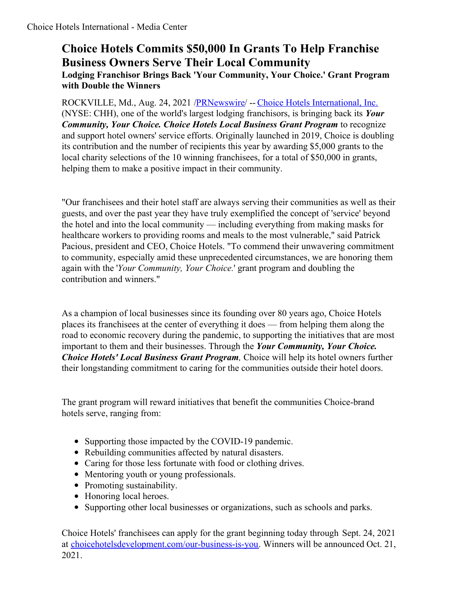## **Choice Hotels Commits \$50,000 In Grants To Help Franchise Business Owners Serve Their Local Community Lodging Franchisor Brings Back 'Your Community, Your Choice.' Grant Program with Double the Winners**

ROCKVILLE, Md., Aug. 24, 2021 [/PRNewswire](http://www.prnewswire.com/)/ -- Choice Hotels [International,](https://c212.net/c/link/?t=0&l=en&o=3267387-1&h=2282716033&u=https%3A%2F%2Fwww.choicehotels.com%2F&a=Choice+Hotels+International%2C+Inc.) Inc. (NYSE: CHH), one of the world's largest lodging franchisors, is bringing back its *Your Community, Your Choice. Choice Hotels Local Business Grant Program* to recognize and support hotel owners' service efforts. Originally launched in 2019, Choice is doubling its contribution and the number of recipients this year by awarding \$5,000 grants to the local charity selections of the 10 winning franchisees, for a total of \$50,000 in grants, helping them to make a positive impact in their community.

"Our franchisees and their hotel staff are always serving their communities as well as their guests, and over the past year they have truly exemplified the concept of 'service' beyond the hotel and into the local community — including everything from making masks for healthcare workers to providing rooms and meals to the most vulnerable," said Patrick Pacious, president and CEO, Choice Hotels. "To commend their unwavering commitment to community, especially amid these unprecedented circumstances, we are honoring them again with the '*Your Community, Your Choice.*' grant program and doubling the contribution and winners."

As a champion of local businesses since its founding over 80 years ago, Choice Hotels places its franchisees at the center of everything it does — from helping them along the road to economic recovery during the pandemic, to supporting the initiatives that are most important to them and their businesses. Through the *Your Community, Your Choice. Choice Hotels' Local Business Grant Program,* Choice will help its hotel owners further their longstanding commitment to caring for the communities outside their hotel doors.

The grant program will reward initiatives that benefit the communities Choice-brand hotels serve, ranging from:

- Supporting those impacted by the COVID-19 pandemic.
- Rebuilding communities affected by natural disasters.
- Caring for those less fortunate with food or clothing drives.
- Mentoring youth or young professionals.
- Promoting sustainability.
- Honoring local heroes.
- Supporting other local businesses or organizations, such as schools and parks.

Choice Hotels' franchisees can apply for the grant beginning today through Sept. 24, 2021 at [choicehotelsdevelopment.com/our-business-is-you](https://c212.net/c/link/?t=0&l=en&o=3267387-1&h=177504290&u=https%3A%2F%2Fchoicehotelsdevelopment.com%2Four-business-is-you%2F&a=choicehotelsdevelopment.com%2Four-business-is-you). Winners will be announced Oct. 21, 2021.